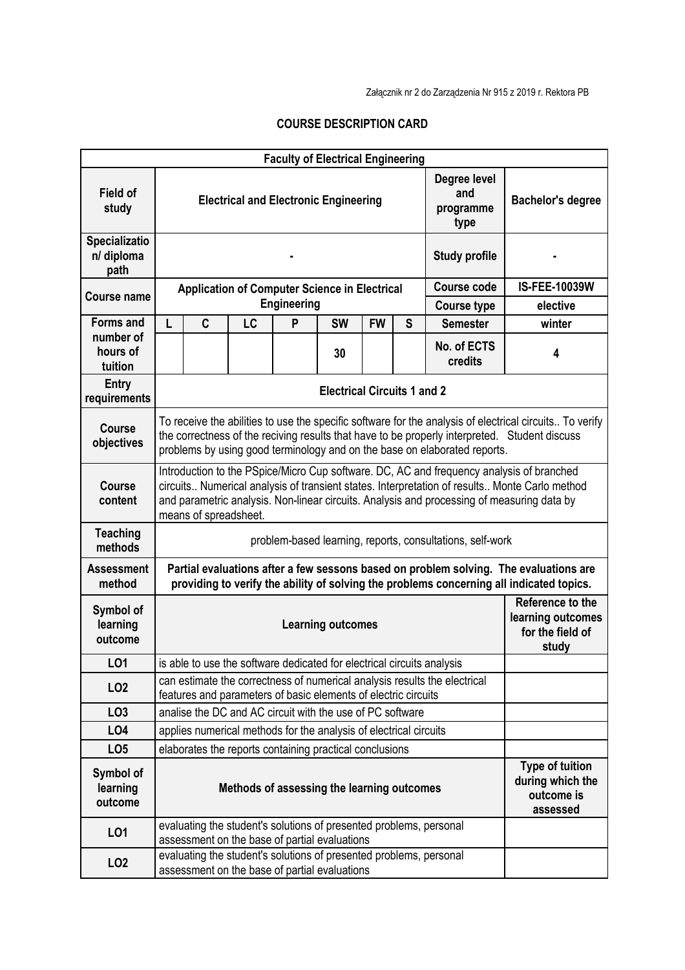## **COURSE DESCRIPTION CARD**

| <b>Faculty of Electrical Engineering</b>             |                                                                                                                                                                                                                                                                                                                  |                                                                                                                                             |    |   |             |                      |                                                                      |                                                           |                          |  |  |  |
|------------------------------------------------------|------------------------------------------------------------------------------------------------------------------------------------------------------------------------------------------------------------------------------------------------------------------------------------------------------------------|---------------------------------------------------------------------------------------------------------------------------------------------|----|---|-------------|----------------------|----------------------------------------------------------------------|-----------------------------------------------------------|--------------------------|--|--|--|
| <b>Field of</b><br>study                             | Degree level<br>and<br><b>Electrical and Electronic Engineering</b><br>programme<br>type                                                                                                                                                                                                                         |                                                                                                                                             |    |   |             |                      |                                                                      |                                                           | <b>Bachelor's degree</b> |  |  |  |
| <b>Specializatio</b><br>n/ diploma<br>path           | <b>Study profile</b>                                                                                                                                                                                                                                                                                             |                                                                                                                                             |    |   |             |                      |                                                                      |                                                           |                          |  |  |  |
| <b>Course name</b>                                   |                                                                                                                                                                                                                                                                                                                  | <b>Application of Computer Science in Electrical</b>                                                                                        |    |   | Course code | <b>IS-FEE-10039W</b> |                                                                      |                                                           |                          |  |  |  |
|                                                      | <b>Engineering</b><br><b>Course type</b>                                                                                                                                                                                                                                                                         |                                                                                                                                             |    |   |             |                      |                                                                      |                                                           | elective                 |  |  |  |
| <b>Forms and</b><br>number of<br>hours of<br>tuition | L                                                                                                                                                                                                                                                                                                                | C                                                                                                                                           | LC | P | <b>SW</b>   | <b>FW</b>            | S                                                                    | <b>Semester</b>                                           | winter                   |  |  |  |
|                                                      |                                                                                                                                                                                                                                                                                                                  |                                                                                                                                             |    |   | 30          |                      |                                                                      | No. of ECTS<br>credits                                    | 4                        |  |  |  |
| Entry<br>requirements                                |                                                                                                                                                                                                                                                                                                                  | <b>Electrical Circuits 1 and 2</b>                                                                                                          |    |   |             |                      |                                                                      |                                                           |                          |  |  |  |
| <b>Course</b><br>objectives                          | To receive the abilities to use the specific software for the analysis of electrical circuits To verify<br>the correctness of the reciving results that have to be properly interpreted. Student discuss<br>problems by using good terminology and on the base on elaborated reports.                            |                                                                                                                                             |    |   |             |                      |                                                                      |                                                           |                          |  |  |  |
| <b>Course</b><br>content                             | Introduction to the PSpice/Micro Cup software. DC, AC and frequency analysis of branched<br>circuits Numerical analysis of transient states. Interpretation of results Monte Carlo method<br>and parametric analysis. Non-linear circuits. Analysis and processing of measuring data by<br>means of spreadsheet. |                                                                                                                                             |    |   |             |                      |                                                                      |                                                           |                          |  |  |  |
| <b>Teaching</b><br>methods                           | problem-based learning, reports, consultations, self-work                                                                                                                                                                                                                                                        |                                                                                                                                             |    |   |             |                      |                                                                      |                                                           |                          |  |  |  |
| <b>Assessment</b><br>method                          | Partial evaluations after a few sessons based on problem solving. The evaluations are<br>providing to verify the ability of solving the problems concerning all indicated topics.                                                                                                                                |                                                                                                                                             |    |   |             |                      |                                                                      |                                                           |                          |  |  |  |
| Symbol of<br>learning<br>outcome                     | <b>Learning outcomes</b><br>study                                                                                                                                                                                                                                                                                |                                                                                                                                             |    |   |             |                      |                                                                      | Reference to the<br>learning outcomes<br>for the field of |                          |  |  |  |
| L01                                                  |                                                                                                                                                                                                                                                                                                                  | is able to use the software dedicated for electrical circuits analysis                                                                      |    |   |             |                      |                                                                      |                                                           |                          |  |  |  |
| LO <sub>2</sub>                                      |                                                                                                                                                                                                                                                                                                                  | can estimate the correctness of numerical analysis results the electrical<br>features and parameters of basic elements of electric circuits |    |   |             |                      |                                                                      |                                                           |                          |  |  |  |
| LO <sub>3</sub>                                      |                                                                                                                                                                                                                                                                                                                  | analise the DC and AC circuit with the use of PC software                                                                                   |    |   |             |                      |                                                                      |                                                           |                          |  |  |  |
| LO <sub>4</sub>                                      | applies numerical methods for the analysis of electrical circuits                                                                                                                                                                                                                                                |                                                                                                                                             |    |   |             |                      |                                                                      |                                                           |                          |  |  |  |
| LO <sub>5</sub>                                      |                                                                                                                                                                                                                                                                                                                  | elaborates the reports containing practical conclusions                                                                                     |    |   |             |                      |                                                                      |                                                           |                          |  |  |  |
| Symbol of<br>learning<br>outcome                     | Methods of assessing the learning outcomes                                                                                                                                                                                                                                                                       |                                                                                                                                             |    |   |             |                      | <b>Type of tuition</b><br>during which the<br>outcome is<br>assessed |                                                           |                          |  |  |  |
| L01                                                  |                                                                                                                                                                                                                                                                                                                  | evaluating the student's solutions of presented problems, personal<br>assessment on the base of partial evaluations                         |    |   |             |                      |                                                                      |                                                           |                          |  |  |  |
| LO <sub>2</sub>                                      |                                                                                                                                                                                                                                                                                                                  | evaluating the student's solutions of presented problems, personal<br>assessment on the base of partial evaluations                         |    |   |             |                      |                                                                      |                                                           |                          |  |  |  |